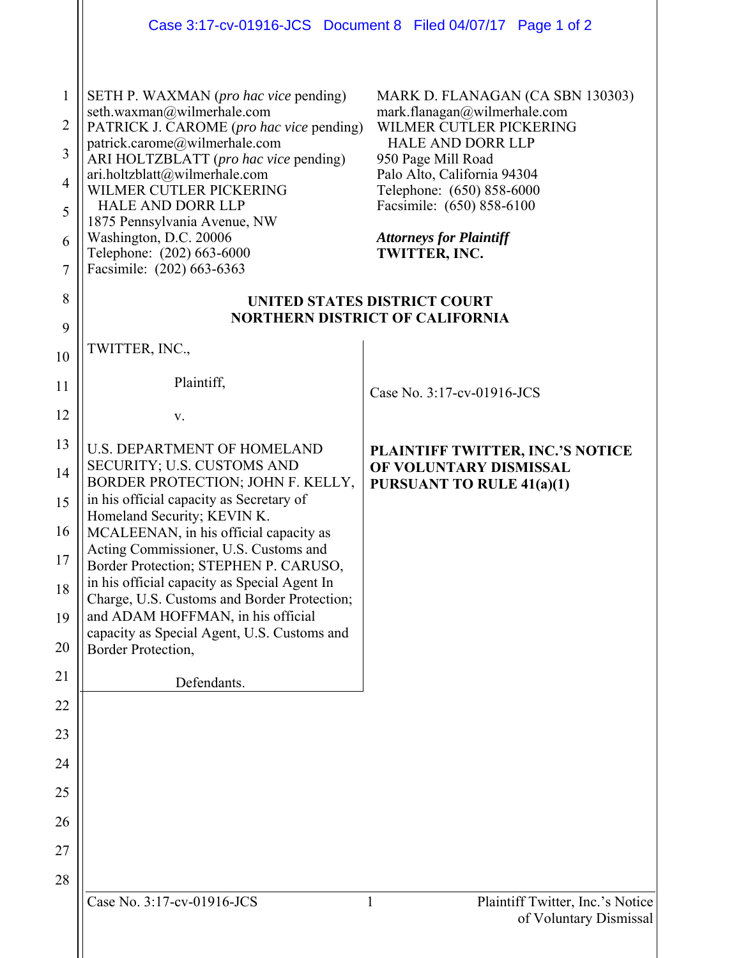|                                                         |                                                                                                                                                                                                                                                                                                                                                                                                       | Case 3:17-cv-01916-JCS Document 8 Filed 04/07/17 Page 1 of 2                                                                                                                                                                                                                              |
|---------------------------------------------------------|-------------------------------------------------------------------------------------------------------------------------------------------------------------------------------------------------------------------------------------------------------------------------------------------------------------------------------------------------------------------------------------------------------|-------------------------------------------------------------------------------------------------------------------------------------------------------------------------------------------------------------------------------------------------------------------------------------------|
| $\mathbf{1}$<br>2<br>3<br>$\overline{4}$<br>5<br>6<br>7 | SETH P. WAXMAN (pro hac vice pending)<br>seth.waxman@wilmerhale.com<br>PATRICK J. CAROME (pro hac vice pending)<br>patrick.carome@wilmerhale.com<br>ARI HOLTZBLATT (pro hac vice pending)<br>ari.holtzblatt@wilmerhale.com<br>WILMER CUTLER PICKERING<br><b>HALE AND DORR LLP</b><br>1875 Pennsylvania Avenue, NW<br>Washington, D.C. 20006<br>Telephone: (202) 663-6000<br>Facsimile: (202) 663-6363 | MARK D. FLANAGAN (CA SBN 130303)<br>mark.flanagan@wilmerhale.com<br>WILMER CUTLER PICKERING<br><b>HALE AND DORR LLP</b><br>950 Page Mill Road<br>Palo Alto, California 94304<br>Telephone: (650) 858-6000<br>Facsimile: (650) 858-6100<br><b>Attorneys for Plaintiff</b><br>TWITTER, INC. |
| 8                                                       | <b>UNITED STATES DISTRICT COURT</b><br><b>NORTHERN DISTRICT OF CALIFORNIA</b>                                                                                                                                                                                                                                                                                                                         |                                                                                                                                                                                                                                                                                           |
| 9<br>10                                                 | TWITTER, INC.,                                                                                                                                                                                                                                                                                                                                                                                        |                                                                                                                                                                                                                                                                                           |
| 11                                                      | Plaintiff,                                                                                                                                                                                                                                                                                                                                                                                            | Case No. 3:17-cv-01916-JCS                                                                                                                                                                                                                                                                |
| 12                                                      | V.                                                                                                                                                                                                                                                                                                                                                                                                    |                                                                                                                                                                                                                                                                                           |
| 13                                                      | <b>U.S. DEPARTMENT OF HOMELAND</b><br>SECURITY; U.S. CUSTOMS AND                                                                                                                                                                                                                                                                                                                                      | PLAINTIFF TWITTER, INC.'S NOTICE<br>OF VOLUNTARY DISMISSAL                                                                                                                                                                                                                                |
| 14<br>15                                                | BORDER PROTECTION; JOHN F. KELLY,<br>in his official capacity as Secretary of<br>Homeland Security; KEVIN K.                                                                                                                                                                                                                                                                                          | <b>PURSUANT TO RULE 41(a)(1)</b>                                                                                                                                                                                                                                                          |
| 16                                                      | MCALEENAN, in his official capacity as<br>Acting Commissioner, U.S. Customs and                                                                                                                                                                                                                                                                                                                       |                                                                                                                                                                                                                                                                                           |
| 17                                                      | Border Protection; STEPHEN P. CARUSO,<br>in his official capacity as Special Agent In                                                                                                                                                                                                                                                                                                                 |                                                                                                                                                                                                                                                                                           |
| 18<br>19                                                | Charge, U.S. Customs and Border Protection;<br>and ADAM HOFFMAN, in his official                                                                                                                                                                                                                                                                                                                      |                                                                                                                                                                                                                                                                                           |
| 20                                                      | capacity as Special Agent, U.S. Customs and<br>Border Protection,                                                                                                                                                                                                                                                                                                                                     |                                                                                                                                                                                                                                                                                           |
| 21                                                      | Defendants.                                                                                                                                                                                                                                                                                                                                                                                           |                                                                                                                                                                                                                                                                                           |
| 22                                                      |                                                                                                                                                                                                                                                                                                                                                                                                       |                                                                                                                                                                                                                                                                                           |
| 23<br>24                                                |                                                                                                                                                                                                                                                                                                                                                                                                       |                                                                                                                                                                                                                                                                                           |
| 25                                                      |                                                                                                                                                                                                                                                                                                                                                                                                       |                                                                                                                                                                                                                                                                                           |
| 26                                                      |                                                                                                                                                                                                                                                                                                                                                                                                       |                                                                                                                                                                                                                                                                                           |
| 27                                                      |                                                                                                                                                                                                                                                                                                                                                                                                       |                                                                                                                                                                                                                                                                                           |
| 28                                                      | Case No. 3:17-cv-01916-JCS                                                                                                                                                                                                                                                                                                                                                                            | $\mathbf{1}$<br>Plaintiff Twitter, Inc.'s Notice                                                                                                                                                                                                                                          |